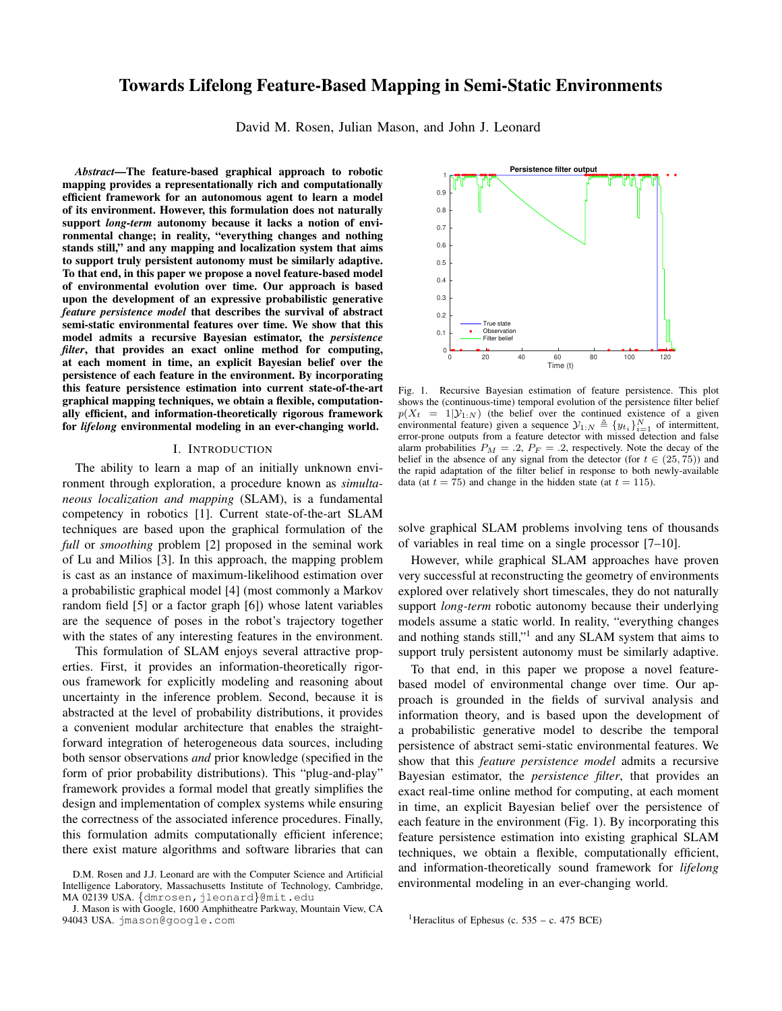# Towards Lifelong Feature-Based Mapping in Semi-Static Environments

David M. Rosen, Julian Mason, and John J. Leonard

*Abstract*—The feature-based graphical approach to robotic mapping provides a representationally rich and computationally efficient framework for an autonomous agent to learn a model of its environment. However, this formulation does not naturally support *long-term* autonomy because it lacks a notion of environmental change; in reality, "everything changes and nothing stands still," and any mapping and localization system that aims to support truly persistent autonomy must be similarly adaptive. To that end, in this paper we propose a novel feature-based model of environmental evolution over time. Our approach is based upon the development of an expressive probabilistic generative *feature persistence model* that describes the survival of abstract semi-static environmental features over time. We show that this model admits a recursive Bayesian estimator, the *persistence filter*, that provides an exact online method for computing, at each moment in time, an explicit Bayesian belief over the persistence of each feature in the environment. By incorporating this feature persistence estimation into current state-of-the-art graphical mapping techniques, we obtain a flexible, computationally efficient, and information-theoretically rigorous framework for *lifelong* environmental modeling in an ever-changing world.

## I. INTRODUCTION

The ability to learn a map of an initially unknown environment through exploration, a procedure known as *simultaneous localization and mapping* (SLAM), is a fundamental competency in robotics [\[1\]](#page-7-0). Current state-of-the-art SLAM techniques are based upon the graphical formulation of the *full* or *smoothing* problem [\[2\]](#page-7-1) proposed in the seminal work of Lu and Milios [\[3\]](#page-7-2). In this approach, the mapping problem is cast as an instance of maximum-likelihood estimation over a probabilistic graphical model [\[4\]](#page-7-3) (most commonly a Markov random field [\[5\]](#page-7-4) or a factor graph [\[6\]](#page-7-5)) whose latent variables are the sequence of poses in the robot's trajectory together with the states of any interesting features in the environment.

This formulation of SLAM enjoys several attractive properties. First, it provides an information-theoretically rigorous framework for explicitly modeling and reasoning about uncertainty in the inference problem. Second, because it is abstracted at the level of probability distributions, it provides a convenient modular architecture that enables the straightforward integration of heterogeneous data sources, including both sensor observations *and* prior knowledge (specified in the form of prior probability distributions). This "plug-and-play" framework provides a formal model that greatly simplifies the design and implementation of complex systems while ensuring the correctness of the associated inference procedures. Finally, this formulation admits computationally efficient inference; there exist mature algorithms and software libraries that can



<span id="page-0-1"></span>Fig. 1. Recursive Bayesian estimation of feature persistence. This plot shows the (continuous-time) temporal evolution of the persistence filter belief  $p(X_t = 1 | Y_{1:N})$  (the belief over the continued existence of a given environmental feature) given a sequence  $\mathcal{Y}_{1:N} \triangleq \{y_{t_i}\}_{i=1}^N$  of intermittent, error-prone outputs from a feature detector with missed detection and false alarm probabilities  $P_M = .2$ ,  $P_F = .2$ , respectively. Note the decay of the belief in the absence of any signal from the detector (for  $t \in (25, 75)$ ) and the rapid adaptation of the filter belief in response to both newly-available data (at  $t = 75$ ) and change in the hidden state (at  $t = 115$ ).

solve graphical SLAM problems involving tens of thousands of variables in real time on a single processor [\[7](#page-7-6)[–10\]](#page-7-7).

However, while graphical SLAM approaches have proven very successful at reconstructing the geometry of environments explored over relatively short timescales, they do not naturally support *long-term* robotic autonomy because their underlying models assume a static world. In reality, "everything changes and nothing stands still,"<sup>[1](#page-0-0)</sup> and any SLAM system that aims to support truly persistent autonomy must be similarly adaptive.

To that end, in this paper we propose a novel featurebased model of environmental change over time. Our approach is grounded in the fields of survival analysis and information theory, and is based upon the development of a probabilistic generative model to describe the temporal persistence of abstract semi-static environmental features. We show that this *feature persistence model* admits a recursive Bayesian estimator, the *persistence filter*, that provides an exact real-time online method for computing, at each moment in time, an explicit Bayesian belief over the persistence of each feature in the environment (Fig. [1\)](#page-0-1). By incorporating this feature persistence estimation into existing graphical SLAM techniques, we obtain a flexible, computationally efficient, and information-theoretically sound framework for *lifelong* environmental modeling in an ever-changing world.

D.M. Rosen and J.J. Leonard are with the Computer Science and Artificial Intelligence Laboratory, Massachusetts Institute of Technology, Cambridge, MA 02139 USA. {dmrosen, jleonard}@mit.edu

J. Mason is with Google, 1600 Amphitheatre Parkway, Mountain View, CA 94043 USA. jmason@google.com

<span id="page-0-0"></span><sup>&</sup>lt;sup>1</sup>Heraclitus of Ephesus (c.  $535 - c$ . 475 BCE)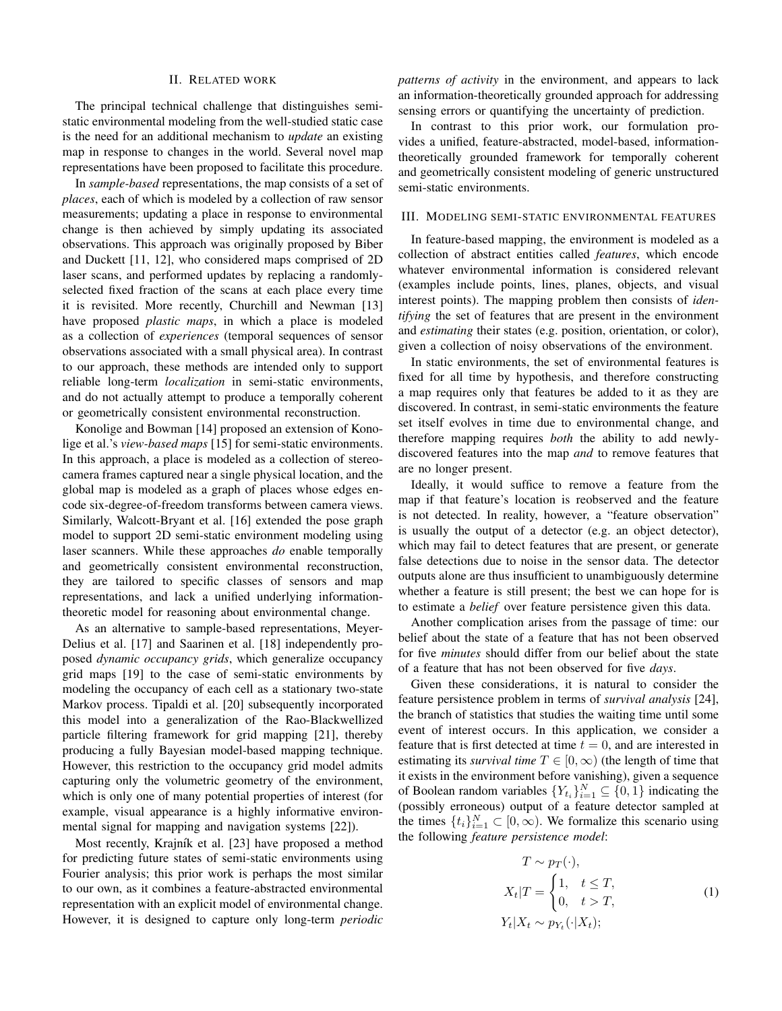## II. RELATED WORK

The principal technical challenge that distinguishes semistatic environmental modeling from the well-studied static case is the need for an additional mechanism to *update* an existing map in response to changes in the world. Several novel map representations have been proposed to facilitate this procedure.

In *sample-based* representations, the map consists of a set of *places*, each of which is modeled by a collection of raw sensor measurements; updating a place in response to environmental change is then achieved by simply updating its associated observations. This approach was originally proposed by Biber and Duckett [\[11,](#page-7-8) [12\]](#page-7-9), who considered maps comprised of 2D laser scans, and performed updates by replacing a randomlyselected fixed fraction of the scans at each place every time it is revisited. More recently, Churchill and Newman [\[13\]](#page-7-10) have proposed *plastic maps*, in which a place is modeled as a collection of *experiences* (temporal sequences of sensor observations associated with a small physical area). In contrast to our approach, these methods are intended only to support reliable long-term *localization* in semi-static environments, and do not actually attempt to produce a temporally coherent or geometrically consistent environmental reconstruction.

Konolige and Bowman [\[14\]](#page-7-11) proposed an extension of [Kono](#page-7-12)[lige et al.'](#page-7-12)s *view-based maps* [\[15\]](#page-7-12) for semi-static environments. In this approach, a place is modeled as a collection of stereocamera frames captured near a single physical location, and the global map is modeled as a graph of places whose edges encode six-degree-of-freedom transforms between camera views. Similarly, Walcott-Bryant et al. [\[16\]](#page-7-13) extended the pose graph model to support 2D semi-static environment modeling using laser scanners. While these approaches *do* enable temporally and geometrically consistent environmental reconstruction, they are tailored to specific classes of sensors and map representations, and lack a unified underlying informationtheoretic model for reasoning about environmental change.

As an alternative to sample-based representations, Meyer-Delius et al. [\[17\]](#page-7-14) and Saarinen et al. [\[18\]](#page-7-15) independently proposed *dynamic occupancy grids*, which generalize occupancy grid maps [\[19\]](#page-7-16) to the case of semi-static environments by modeling the occupancy of each cell as a stationary two-state Markov process. Tipaldi et al. [\[20\]](#page-7-17) subsequently incorporated this model into a generalization of the Rao-Blackwellized particle filtering framework for grid mapping [\[21\]](#page-7-18), thereby producing a fully Bayesian model-based mapping technique. However, this restriction to the occupancy grid model admits capturing only the volumetric geometry of the environment, which is only one of many potential properties of interest (for example, visual appearance is a highly informative environmental signal for mapping and navigation systems [\[22\]](#page-7-19)).

Most recently, Krajník et al. [\[23\]](#page-7-20) have proposed a method for predicting future states of semi-static environments using Fourier analysis; this prior work is perhaps the most similar to our own, as it combines a feature-abstracted environmental representation with an explicit model of environmental change. However, it is designed to capture only long-term *periodic* *patterns of activity* in the environment, and appears to lack an information-theoretically grounded approach for addressing sensing errors or quantifying the uncertainty of prediction.

In contrast to this prior work, our formulation provides a unified, feature-abstracted, model-based, informationtheoretically grounded framework for temporally coherent and geometrically consistent modeling of generic unstructured semi-static environments.

## III. MODELING SEMI-STATIC ENVIRONMENTAL FEATURES

In feature-based mapping, the environment is modeled as a collection of abstract entities called *features*, which encode whatever environmental information is considered relevant (examples include points, lines, planes, objects, and visual interest points). The mapping problem then consists of *identifying* the set of features that are present in the environment and *estimating* their states (e.g. position, orientation, or color), given a collection of noisy observations of the environment.

In static environments, the set of environmental features is fixed for all time by hypothesis, and therefore constructing a map requires only that features be added to it as they are discovered. In contrast, in semi-static environments the feature set itself evolves in time due to environmental change, and therefore mapping requires *both* the ability to add newlydiscovered features into the map *and* to remove features that are no longer present.

Ideally, it would suffice to remove a feature from the map if that feature's location is reobserved and the feature is not detected. In reality, however, a "feature observation" is usually the output of a detector (e.g. an object detector), which may fail to detect features that are present, or generate false detections due to noise in the sensor data. The detector outputs alone are thus insufficient to unambiguously determine whether a feature is still present; the best we can hope for is to estimate a *belief* over feature persistence given this data.

Another complication arises from the passage of time: our belief about the state of a feature that has not been observed for five *minutes* should differ from our belief about the state of a feature that has not been observed for five *days*.

Given these considerations, it is natural to consider the feature persistence problem in terms of *survival analysis* [\[24\]](#page-7-21), the branch of statistics that studies the waiting time until some event of interest occurs. In this application, we consider a feature that is first detected at time  $t = 0$ , and are interested in estimating its *survival time*  $T \in [0, \infty)$  (the length of time that it exists in the environment before vanishing), given a sequence of Boolean random variables  $\{Y_{t_i}\}_{i=1}^N \subseteq \{0,1\}$  indicating the (possibly erroneous) output of a feature detector sampled at the times  $\{t_i\}_{i=1}^N \subset [0,\infty)$ . We formalize this scenario using the following *feature persistence model*:

<span id="page-1-0"></span>
$$
T \sim p_T(\cdot),
$$
  
\n
$$
X_t|T = \begin{cases} 1, & t \le T, \\ 0, & t > T, \end{cases}
$$
 (1)  
\n
$$
Y_t|X_t \sim p_{Y_t}(\cdot|X_t);
$$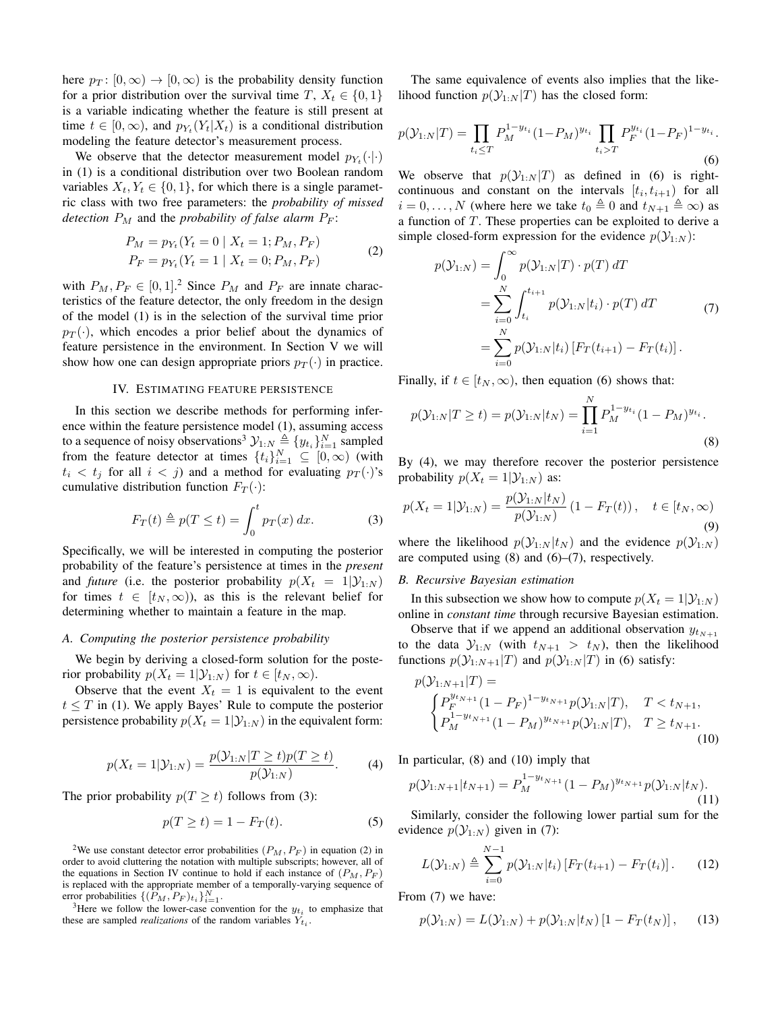here  $p_T : [0, \infty) \to [0, \infty)$  is the probability density function for a prior distribution over the survival time T,  $X_t \in \{0, 1\}$ is a variable indicating whether the feature is still present at time  $t \in [0, \infty)$ , and  $p_{Y_t}(Y_t | X_t)$  is a conditional distribution modeling the feature detector's measurement process.

We observe that the detector measurement model  $p_{Y_t}(\cdot|\cdot)$ in [\(1\)](#page-1-0) is a conditional distribution over two Boolean random variables  $X_t, Y_t \in \{0, 1\}$ , for which there is a single parametric class with two free parameters: the *probability of missed detection*  $P_M$  and the *probability of false alarm*  $P_F$ :

$$
P_M = p_{Y_t}(Y_t = 0 \mid X_t = 1; P_M, P_F)
$$
  
\n
$$
P_F = p_{Y_t}(Y_t = 1 \mid X_t = 0; P_M, P_F)
$$
\n(2)

with  $P_M, P_F \in [0, 1]^2$  $P_M, P_F \in [0, 1]^2$  Since  $P_M$  and  $P_F$  are innate characteristics of the feature detector, the only freedom in the design of the model [\(1\)](#page-1-0) is in the selection of the survival time prior  $p_T(\cdot)$ , which encodes a prior belief about the dynamics of feature persistence in the environment. In Section [V](#page-3-0) we will show how one can design appropriate priors  $p_T(\cdot)$  in practice.

#### IV. ESTIMATING FEATURE PERSISTENCE

<span id="page-2-4"></span>In this section we describe methods for performing inference within the feature persistence model [\(1\)](#page-1-0), assuming access to a sequence of noisy observations<sup>[3](#page-2-1)</sup>  $\mathcal{Y}_{1:N} \triangleq \{y_{t_i}\}_{i=1}^N$  sampled from the feature detector at times  $\{t_i\}_{i=1}^N \subseteq [0,\infty)$  (with  $t_i < t_j$  for all  $i < j$ ) and a method for evaluating  $p_T(\cdot)$ 's cumulative distribution function  $F_T(\cdot)$ :

$$
F_T(t) \triangleq p(T \le t) = \int_0^t p_T(x) \, dx. \tag{3}
$$

Specifically, we will be interested in computing the posterior probability of the feature's persistence at times in the *present* and *future* (i.e. the posterior probability  $p(X_t = 1 | Y_{1:N})$ for times  $t \in [t_N, \infty)$ , as this is the relevant belief for determining whether to maintain a feature in the map.

#### *A. Computing the posterior persistence probability*

We begin by deriving a closed-form solution for the posterior probability  $p(X_t = 1 | Y_{1:N})$  for  $t \in [t_N, \infty)$ .

<span id="page-2-6"></span>Observe that the event  $X_t = 1$  is equivalent to the event  $t \leq T$  in [\(1\)](#page-1-0). We apply Bayes' Rule to compute the posterior persistence probability  $p(X_t = 1 | Y_{1:N})$  in the equivalent form:

$$
p(X_t = 1 | \mathcal{Y}_{1:N}) = \frac{p(\mathcal{Y}_{1:N} | T \ge t) p(T \ge t)}{p(\mathcal{Y}_{1:N})}.
$$
 (4)

The prior probability  $p(T \ge t)$  follows from [\(3\)](#page-2-2):

$$
p(T \ge t) = 1 - F_T(t). \tag{5}
$$

<span id="page-2-0"></span><sup>2</sup>We use constant detector error probabilities  $(P_M, P_F)$  in equation [\(2\)](#page-2-3) in order to avoid cluttering the notation with multiple subscripts; however, all of the equations in Section [IV](#page-2-4) continue to hold if each instance of  $(P_M, P_F)$ is replaced with the appropriate member of a temporally-varying sequence of error probabilities  $\{(\overline{P}_M, P_F)_{t_i}\}_{i=1}^N$ .

<span id="page-2-1"></span><sup>3</sup>Here we follow the lower-case convention for the  $y_{t_i}$  to emphasize that these are sampled *realizations* of the random variables  $Y_{t_i}$ .

The same equivalence of events also implies that the likelihood function  $p(Y_{1:N} | T)$  has the closed form:

<span id="page-2-5"></span>
$$
p(\mathcal{Y}_{1:N}|T) = \prod_{t_i \le T} P_M^{1-y_{t_i}} (1 - P_M)^{y_{t_i}} \prod_{t_i > T} P_F^{y_{t_i}} (1 - P_F)^{1 - y_{t_i}}.
$$
\n
$$
(6)
$$

<span id="page-2-3"></span>We observe that  $p(\mathcal{Y}_{1:N} | T)$  as defined in [\(6\)](#page-2-5) is rightcontinuous and constant on the intervals  $[t_i, t_{i+1})$  for all  $i = 0, \ldots, N$  (where here we take  $t_0 \triangleq 0$  and  $t_{N+1} \triangleq \infty$ ) as a function of  $T$ . These properties can be exploited to derive a simple closed-form expression for the evidence  $p(\mathcal{Y}_{1:N})$ :

<span id="page-2-8"></span>
$$
p(\mathcal{Y}_{1:N}) = \int_0^\infty p(\mathcal{Y}_{1:N}|T) \cdot p(T) \, dT
$$
  
= 
$$
\sum_{i=0}^N \int_{t_i}^{t_{i+1}} p(\mathcal{Y}_{1:N}|t_i) \cdot p(T) \, dT
$$
  
= 
$$
\sum_{i=0}^N p(\mathcal{Y}_{1:N}|t_i) \left[ F_T(t_{i+1}) - F_T(t_i) \right].
$$
 (7)

Finally, if  $t \in [t_N, \infty)$ , then equation [\(6\)](#page-2-5) shows that:

<span id="page-2-7"></span>
$$
p(\mathcal{Y}_{1:N}|T \ge t) = p(\mathcal{Y}_{1:N}|t_N) = \prod_{i=1}^{N} P_M^{1-y_{t_i}} (1 - P_M)^{y_{t_i}}.
$$
\n(8)

<span id="page-2-2"></span>By [\(4\)](#page-2-6), we may therefore recover the posterior persistence probability  $p(X_t = 1 | \mathcal{Y}_{1:N})$  as:

<span id="page-2-12"></span>
$$
p(X_t = 1 | \mathcal{Y}_{1:N}) = \frac{p(\mathcal{Y}_{1:N} | t_N)}{p(\mathcal{Y}_{1:N})} (1 - F_T(t)), \quad t \in [t_N, \infty)
$$
\n(9)

where the likelihood  $p(\mathcal{Y}_{1:N} | t_N)$  and the evidence  $p(\mathcal{Y}_{1:N})$ are computed using  $(8)$  and  $(6)$ – $(7)$ , respectively.

#### *B. Recursive Bayesian estimation*

In this subsection we show how to compute  $p(X_t = 1 | Y_{1:N})$ online in *constant time* through recursive Bayesian estimation.

Observe that if we append an additional observation  $y_{t_{N+1}}$ to the data  $\mathcal{Y}_{1:N}$  (with  $t_{N+1} > t_N$ ), then the likelihood functions  $p(\mathcal{Y}_{1:N+1}|T)$  and  $p(\mathcal{Y}_{1:N}|T)$  in [\(6\)](#page-2-5) satisfy:

<span id="page-2-9"></span>
$$
p(\mathcal{Y}_{1:N+1}|T) =
$$
\n
$$
\begin{cases}\nP_F^{y_{t_{N+1}}}(1 - P_F)^{1 - y_{t_{N+1}}} p(\mathcal{Y}_{1:N}|T), & T < t_{N+1}, \\
P_M^{1 - y_{t_{N+1}}}(1 - P_M)^{y_{t_{N+1}}} p(\mathcal{Y}_{1:N}|T), & T \ge t_{N+1}.\n\end{cases}
$$
\n(10)

In particular, [\(8\)](#page-2-7) and [\(10\)](#page-2-9) imply that

<span id="page-2-10"></span>
$$
p(\mathcal{Y}_{1:N+1}|t_{N+1}) = P_M^{1-y_{t_{N+1}}}(1 - P_M)^{y_{t_{N+1}}} p(\mathcal{Y}_{1:N}|t_N).
$$
\n(11)

Similarly, consider the following lower partial sum for the evidence  $p(Y_{1:N})$  given in [\(7\)](#page-2-8):

<span id="page-2-13"></span>
$$
L(\mathcal{Y}_{1:N}) \triangleq \sum_{i=0}^{N-1} p(\mathcal{Y}_{1:N}|t_i) \left[ F_T(t_{i+1}) - F_T(t_i) \right]. \tag{12}
$$

From [\(7\)](#page-2-8) we have:

<span id="page-2-11"></span>
$$
p(\mathcal{Y}_{1:N}) = L(\mathcal{Y}_{1:N}) + p(\mathcal{Y}_{1:N}|t_N) [1 - F_T(t_N)], \quad (13)
$$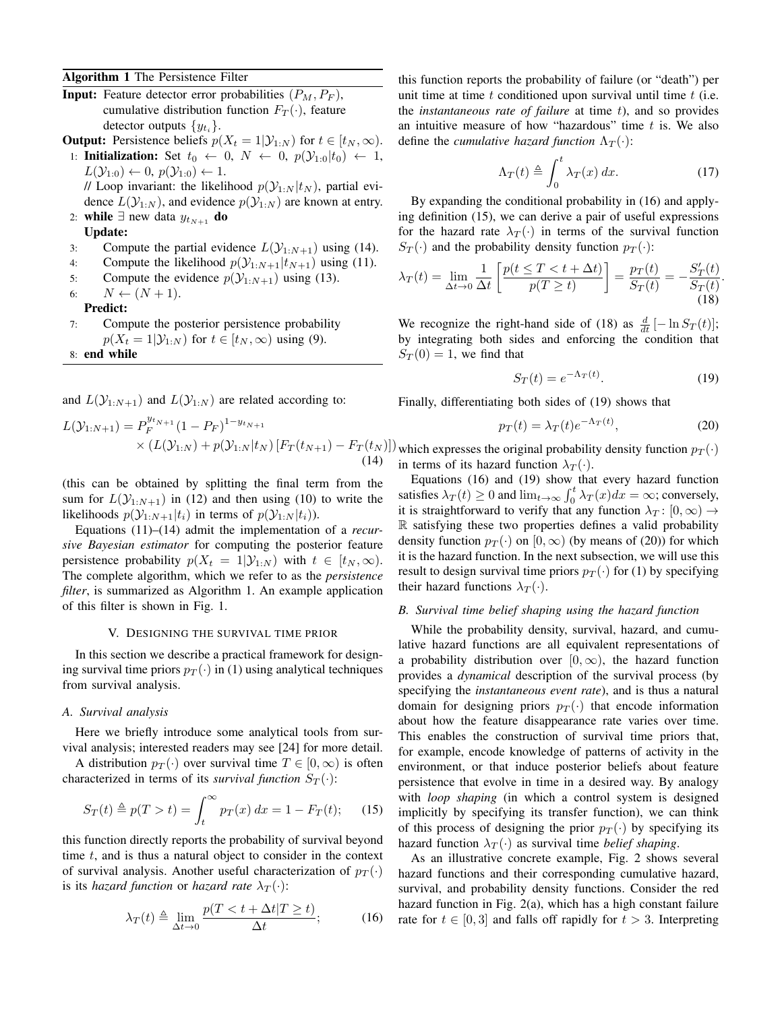- <span id="page-3-2"></span>**Input:** Feature detector error probabilities  $(P_M, P_F)$ , cumulative distribution function  $F_T(\cdot)$ , feature detector outputs  $\{y_{t_i}\}.$
- **Output:** Persistence beliefs  $p(X_t = 1 | \mathcal{Y}_{1:N})$  for  $t \in [t_N, \infty)$ . 1: **Initialization:** Set  $t_0 \leftarrow 0$ ,  $N \leftarrow 0$ ,  $p(\mathcal{Y}_{1:0}|t_0) \leftarrow 1$ ,
- $L(\mathcal{Y}_{1:0}) \leftarrow 0, p(\mathcal{Y}_{1:0}) \leftarrow 1.$ // Loop invariant: the likelihood  $p(\mathcal{Y}_{1:N} | t_N)$ , partial evidence  $L(\mathcal{Y}_{1:N})$ , and evidence  $p(\mathcal{Y}_{1:N})$  are known at entry. 2: while ∃ new data  $y_{t_{N+1}}$  do

## Update:

- 3: Compute the partial evidence  $L(\mathcal{Y}_{1:N+1})$  using [\(14\)](#page-3-1).
- 4: Compute the likelihood  $p(\mathcal{Y}_{1:N+1}|t_{N+1})$  using [\(11\)](#page-2-10).
- 5: Compute the evidence  $p(\mathcal{Y}_{1:N+1})$  using [\(13\)](#page-2-11).
- 6:  $N \leftarrow (N+1)$ .

## Predict:

7: Compute the posterior persistence probability  $p(X_t = 1 | Y_{1:N})$  for  $t \in [t_N, \infty)$  using [\(9\)](#page-2-12).

8: end while

and  $L(\mathcal{Y}_{1:N+1})$  and  $L(\mathcal{Y}_{1:N})$  are related according to:

$$
L(\mathcal{Y}_{1:N+1}) = P_F^{y_{t_{N+1}}} (1 - P_F)^{1 - y_{t_{N+1}}}
$$
  
×  $(L(\mathcal{Y}_{1:N}) + p(\mathcal{Y}_{1:N}|t_N) [F_T(t_{N+1}) - F_T(t_N)])$  (14)

(this can be obtained by splitting the final term from the sum for  $L(\mathcal{Y}_{1:N+1})$  in [\(12\)](#page-2-13) and then using [\(10\)](#page-2-9) to write the likelihoods  $p(\mathcal{Y}_{1:N+1}|t_i)$  in terms of  $p(\mathcal{Y}_{1:N}|t_i)$ .

Equations [\(11\)](#page-2-10)–[\(14\)](#page-3-1) admit the implementation of a *recursive Bayesian estimator* for computing the posterior feature persistence probability  $p(X_t = 1 | \mathcal{Y}_{1:N})$  with  $t \in [t_N, \infty)$ . The complete algorithm, which we refer to as the *persistence filter*, is summarized as Algorithm [1.](#page-3-2) An example application of this filter is shown in Fig. [1.](#page-0-1)

### V. DESIGNING THE SURVIVAL TIME PRIOR

<span id="page-3-0"></span>In this section we describe a practical framework for designing survival time priors  $p_T(\cdot)$  in [\(1\)](#page-1-0) using analytical techniques from survival analysis.

### *A. Survival analysis*

Here we briefly introduce some analytical tools from survival analysis; interested readers may see [\[24\]](#page-7-21) for more detail.

A distribution  $p_T(\cdot)$  over survival time  $T \in [0, \infty)$  is often characterized in terms of its *survival function*  $S_T(\cdot)$ :

$$
S_T(t) \triangleq p(T > t) = \int_t^{\infty} p_T(x) \, dx = 1 - F_T(t); \tag{15}
$$

this function directly reports the probability of survival beyond time  $t$ , and is thus a natural object to consider in the context of survival analysis. Another useful characterization of  $p_T(\cdot)$ is its *hazard function* or *hazard rate*  $\lambda_T(\cdot)$ :

$$
\lambda_T(t) \triangleq \lim_{\Delta t \to 0} \frac{p(T < t + \Delta t | T \ge t)}{\Delta t};\tag{16}
$$

this function reports the probability of failure (or "death") per unit time at time  $t$  conditioned upon survival until time  $t$  (i.e. the *instantaneous rate of failure* at time t), and so provides an intuitive measure of how "hazardous" time  $t$  is. We also define the *cumulative hazard function*  $\Lambda_T(\cdot)$ :

<span id="page-3-5"></span>
$$
\Lambda_T(t) \triangleq \int_0^t \lambda_T(x) \, dx. \tag{17}
$$

By expanding the conditional probability in [\(16\)](#page-3-3) and applying definition [\(15\)](#page-3-4), we can derive a pair of useful expressions for the hazard rate  $\lambda_T(\cdot)$  in terms of the survival function  $S_T(\cdot)$  and the probability density function  $p_T(\cdot)$ :

$$
\lambda_T(t) = \lim_{\Delta t \to 0} \frac{1}{\Delta t} \left[ \frac{p(t \le T < t + \Delta t)}{p(T \ge t)} \right] = \frac{p_T(t)}{S_T(t)} = -\frac{S'_T(t)}{S_T(t)}.
$$
\n(18)

We recognize the right-hand side of [\(18\)](#page-3-5) as  $\frac{d}{dt}[-\ln S_T(t)]$ ; by integrating both sides and enforcing the condition that  $S_T(0) = 1$ , we find that

<span id="page-3-7"></span><span id="page-3-6"></span>
$$
S_T(t) = e^{-\Lambda_T(t)}.
$$
\n(19)

<span id="page-3-1"></span>Finally, differentiating both sides of [\(19\)](#page-3-6) shows that

$$
p_T(t) = \lambda_T(t)e^{-\Lambda_T(t)},\tag{20}
$$

which expresses the original probability density function  $p_T(\cdot)$ in terms of its hazard function  $\lambda_T(\cdot)$ .

Equations [\(16\)](#page-3-3) and [\(19\)](#page-3-6) show that every hazard function satisfies  $\lambda_T(t) \ge 0$  and  $\lim_{t \to \infty} \int_0^t \lambda_T(x) dx = \infty$ ; conversely, it is straightforward to verify that any function  $\lambda_T : [0, \infty) \rightarrow$ R satisfying these two properties defines a valid probability density function  $p_T(\cdot)$  on  $[0, \infty)$  (by means of [\(20\)](#page-3-7)) for which it is the hazard function. In the next subsection, we will use this result to design survival time priors  $p_T(\cdot)$  for [\(1\)](#page-1-0) by specifying their hazard functions  $\lambda_T(\cdot)$ .

## *B. Survival time belief shaping using the hazard function*

While the probability density, survival, hazard, and cumulative hazard functions are all equivalent representations of a probability distribution over  $[0, \infty)$ , the hazard function provides a *dynamical* description of the survival process (by specifying the *instantaneous event rate*), and is thus a natural domain for designing priors  $p_T(\cdot)$  that encode information about how the feature disappearance rate varies over time. This enables the construction of survival time priors that, for example, encode knowledge of patterns of activity in the environment, or that induce posterior beliefs about feature persistence that evolve in time in a desired way. By analogy with *loop shaping* (in which a control system is designed implicitly by specifying its transfer function), we can think of this process of designing the prior  $p_T(\cdot)$  by specifying its hazard function  $\lambda_T(\cdot)$  as survival time *belief shaping*.

<span id="page-3-4"></span><span id="page-3-3"></span>As an illustrative concrete example, Fig. [2](#page-4-0) shows several hazard functions and their corresponding cumulative hazard, survival, and probability density functions. Consider the red hazard function in Fig. [2\(a\),](#page-4-1) which has a high constant failure rate for  $t \in [0, 3]$  and falls off rapidly for  $t > 3$ . Interpreting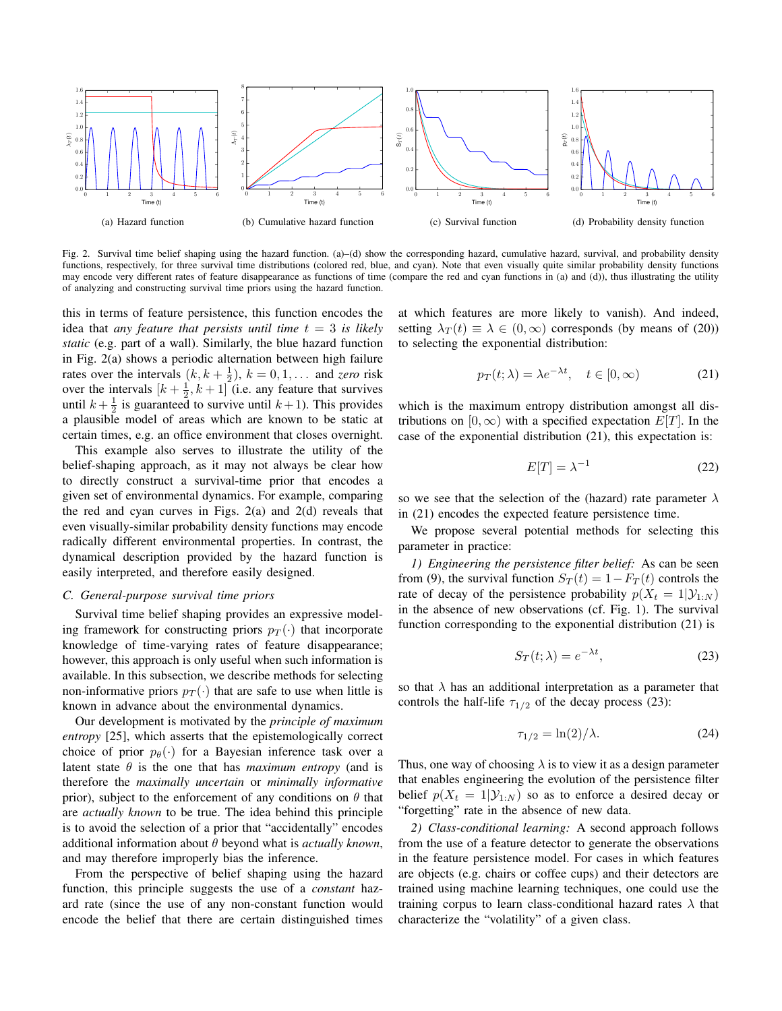<span id="page-4-1"></span>

<span id="page-4-0"></span>Fig. 2. Survival time belief shaping using the hazard function. [\(a\)–](#page-4-1)[\(d\)](#page-4-2) show the corresponding hazard, cumulative hazard, survival, and probability density functions, respectively, for three survival time distributions (colored red, blue, and cyan). Note that even visually quite similar probability density functions may encode very different rates of feature disappearance as functions of time (compare the red and cyan functions in [\(a\)](#page-4-1) and [\(d\)\)](#page-4-2), thus illustrating the utility of analyzing and constructing survival time priors using the hazard function.

this in terms of feature persistence, this function encodes the idea that *any feature that persists until time*  $t = 3$  *is likely static* (e.g. part of a wall). Similarly, the blue hazard function in Fig. [2\(a\)](#page-4-1) shows a periodic alternation between high failure rates over the intervals  $(k, k + \frac{1}{2})$ ,  $k = 0, 1, \dots$  and *zero* risk over the intervals  $[k+\frac{1}{2},k+1]$  (i.e. any feature that survives until  $k + \frac{1}{2}$  is guaranteed to survive until  $k + 1$ ). This provides a plausible model of areas which are known to be static at certain times, e.g. an office environment that closes overnight.

This example also serves to illustrate the utility of the belief-shaping approach, as it may not always be clear how to directly construct a survival-time prior that encodes a given set of environmental dynamics. For example, comparing the red and cyan curves in Figs.  $2(a)$  and  $2(d)$  reveals that even visually-similar probability density functions may encode radically different environmental properties. In contrast, the dynamical description provided by the hazard function is easily interpreted, and therefore easily designed.

#### *C. General-purpose survival time priors*

Survival time belief shaping provides an expressive modeling framework for constructing priors  $p_T(\cdot)$  that incorporate knowledge of time-varying rates of feature disappearance; however, this approach is only useful when such information is available. In this subsection, we describe methods for selecting non-informative priors  $p_T(\cdot)$  that are safe to use when little is known in advance about the environmental dynamics.

Our development is motivated by the *principle of maximum entropy* [\[25\]](#page-7-22), which asserts that the epistemologically correct choice of prior  $p_{\theta}(\cdot)$  for a Bayesian inference task over a latent state  $\theta$  is the one that has *maximum entropy* (and is therefore the *maximally uncertain* or *minimally informative* prior), subject to the enforcement of any conditions on  $\theta$  that are *actually known* to be true. The idea behind this principle is to avoid the selection of a prior that "accidentally" encodes additional information about θ beyond what is *actually known*, and may therefore improperly bias the inference.

From the perspective of belief shaping using the hazard function, this principle suggests the use of a *constant* hazard rate (since the use of any non-constant function would encode the belief that there are certain distinguished times at which features are more likely to vanish). And indeed, setting  $\lambda_T(t) \equiv \lambda \in (0,\infty)$  corresponds (by means of [\(20\)](#page-3-7)) to selecting the exponential distribution:

<span id="page-4-3"></span><span id="page-4-2"></span>
$$
p_T(t; \lambda) = \lambda e^{-\lambda t}, \quad t \in [0, \infty)
$$
 (21)

which is the maximum entropy distribution amongst all distributions on [0,  $\infty$ ) with a specified expectation  $E[T]$ . In the case of the exponential distribution [\(21\)](#page-4-3), this expectation is:

$$
E[T] = \lambda^{-1} \tag{22}
$$

so we see that the selection of the (hazard) rate parameter  $\lambda$ in [\(21\)](#page-4-3) encodes the expected feature persistence time.

We propose several potential methods for selecting this parameter in practice:

*1) Engineering the persistence filter belief:* As can be seen from [\(9\)](#page-2-12), the survival function  $S_T(t) = 1 - F_T(t)$  controls the rate of decay of the persistence probability  $p(X_t = 1 | Y_{1:N})$ in the absence of new observations (cf. Fig. [1\)](#page-0-1). The survival function corresponding to the exponential distribution [\(21\)](#page-4-3) is

<span id="page-4-4"></span>
$$
S_T(t; \lambda) = e^{-\lambda t},\tag{23}
$$

so that  $\lambda$  has an additional interpretation as a parameter that controls the half-life  $\tau_{1/2}$  of the decay process [\(23\)](#page-4-4):

<span id="page-4-5"></span>
$$
\tau_{1/2} = \ln(2)/\lambda. \tag{24}
$$

Thus, one way of choosing  $\lambda$  is to view it as a design parameter that enables engineering the evolution of the persistence filter belief  $p(X_t = 1 | Y_{1:N})$  so as to enforce a desired decay or "forgetting" rate in the absence of new data.

*2) Class-conditional learning:* A second approach follows from the use of a feature detector to generate the observations in the feature persistence model. For cases in which features are objects (e.g. chairs or coffee cups) and their detectors are trained using machine learning techniques, one could use the training corpus to learn class-conditional hazard rates  $\lambda$  that characterize the "volatility" of a given class.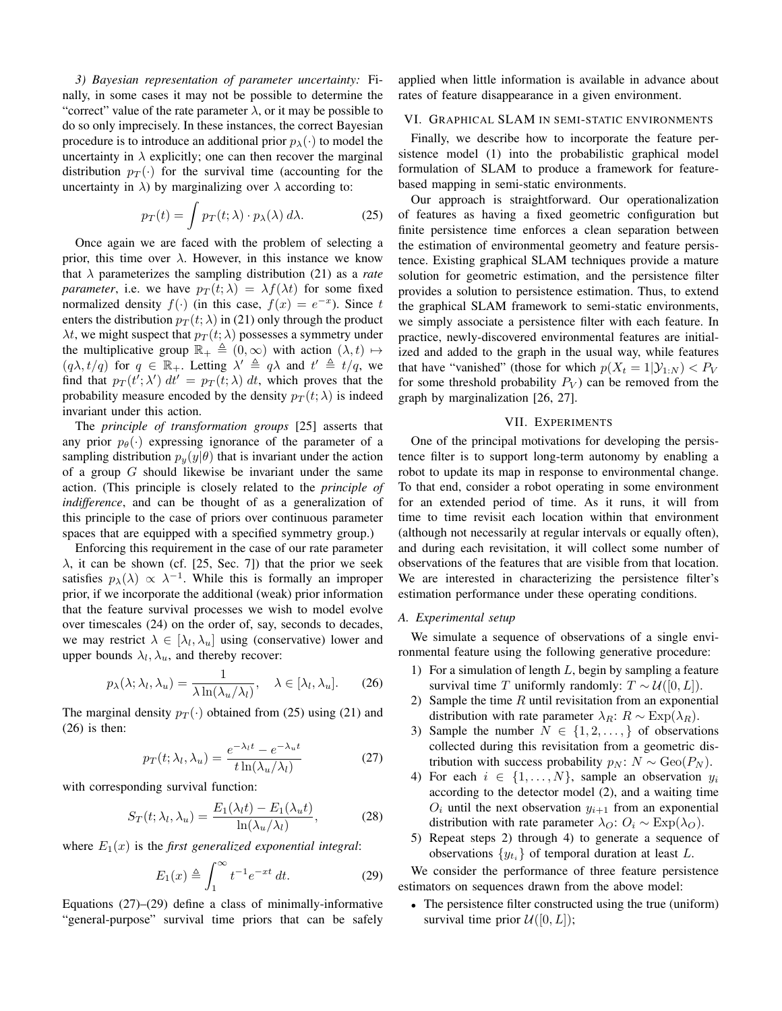<span id="page-5-6"></span>*3) Bayesian representation of parameter uncertainty:* Finally, in some cases it may not be possible to determine the "correct" value of the rate parameter  $\lambda$ , or it may be possible to do so only imprecisely. In these instances, the correct Bayesian procedure is to introduce an additional prior  $p_{\lambda}(\cdot)$  to model the uncertainty in  $\lambda$  explicitly; one can then recover the marginal distribution  $p_T(\cdot)$  for the survival time (accounting for the uncertainty in  $\lambda$ ) by marginalizing over  $\lambda$  according to:

$$
p_T(t) = \int p_T(t; \lambda) \cdot p_\lambda(\lambda) d\lambda.
$$
 (25)

Once again we are faced with the problem of selecting a prior, this time over  $\lambda$ . However, in this instance we know that  $\lambda$  parameterizes the sampling distribution [\(21\)](#page-4-3) as a *rate parameter*, i.e. we have  $p_T(t; \lambda) = \lambda f(\lambda t)$  for some fixed normalized density  $f(\cdot)$  (in this case,  $f(x) = e^{-x}$ ). Since t enters the distribution  $p_T(t; \lambda)$  in [\(21\)](#page-4-3) only through the product  $\lambda t$ , we might suspect that  $p_T(t; \lambda)$  possesses a symmetry under the multiplicative group  $\mathbb{R}_+ \triangleq (0,\infty)$  with action  $(\lambda, t) \mapsto$  $(q\lambda, t/q)$  for  $q \in \mathbb{R}_+$ . Letting  $\lambda' \triangleq q\lambda$  and  $t' \triangleq t/q$ , we find that  $p_T(t';\lambda') dt' = p_T(t;\lambda) dt$ , which proves that the probability measure encoded by the density  $p_T(t; \lambda)$  is indeed invariant under this action.

The *principle of transformation groups* [\[25\]](#page-7-22) asserts that any prior  $p_{\theta}(\cdot)$  expressing ignorance of the parameter of a sampling distribution  $p_y(y|\theta)$  that is invariant under the action of a group  $G$  should likewise be invariant under the same action. (This principle is closely related to the *principle of indifference*, and can be thought of as a generalization of this principle to the case of priors over continuous parameter spaces that are equipped with a specified symmetry group.)

Enforcing this requirement in the case of our rate parameter  $\lambda$ , it can be shown (cf. [\[25,](#page-7-22) Sec. 7]) that the prior we seek satisfies  $p_{\lambda}(\lambda) \propto \lambda^{-1}$ . While this is formally an improper prior, if we incorporate the additional (weak) prior information that the feature survival processes we wish to model evolve over timescales [\(24\)](#page-4-5) on the order of, say, seconds to decades, we may restrict  $\lambda \in [\lambda_l, \lambda_u]$  using (conservative) lower and upper bounds  $\lambda_l, \lambda_u$ , and thereby recover:

$$
p_{\lambda}(\lambda; \lambda_l, \lambda_u) = \frac{1}{\lambda \ln(\lambda_u/\lambda_l)}, \quad \lambda \in [\lambda_l, \lambda_u].
$$
 (26)

The marginal density  $p_T(\cdot)$  obtained from [\(25\)](#page-5-0) using [\(21\)](#page-4-3) and [\(26\)](#page-5-1) is then:

<span id="page-5-2"></span>
$$
p_T(t; \lambda_l, \lambda_u) = \frac{e^{-\lambda_l t} - e^{-\lambda_u t}}{t \ln(\lambda_u/\lambda_l)}
$$
(27)

with corresponding survival function:

$$
S_T(t; \lambda_l, \lambda_u) = \frac{E_1(\lambda_l t) - E_1(\lambda_u t)}{\ln(\lambda_u/\lambda_l)},
$$
\n(28)

where  $E_1(x)$  is the *first generalized exponential integral*:

$$
E_1(x) \triangleq \int_1^{\infty} t^{-1} e^{-xt} dt.
$$
 (29)

Equations [\(27\)](#page-5-2)–[\(29\)](#page-5-3) define a class of minimally-informative "general-purpose" survival time priors that can be safely

applied when little information is available in advance about rates of feature disappearance in a given environment.

## <span id="page-5-5"></span>VI. GRAPHICAL SLAM IN SEMI-STATIC ENVIRONMENTS

Finally, we describe how to incorporate the feature persistence model [\(1\)](#page-1-0) into the probabilistic graphical model formulation of SLAM to produce a framework for featurebased mapping in semi-static environments.

<span id="page-5-0"></span>Our approach is straightforward. Our operationalization of features as having a fixed geometric configuration but finite persistence time enforces a clean separation between the estimation of environmental geometry and feature persistence. Existing graphical SLAM techniques provide a mature solution for geometric estimation, and the persistence filter provides a solution to persistence estimation. Thus, to extend the graphical SLAM framework to semi-static environments, we simply associate a persistence filter with each feature. In practice, newly-discovered environmental features are initialized and added to the graph in the usual way, while features that have "vanished" (those for which  $p(X_t = 1 | Y_{1:N}) < P_V$ for some threshold probability  $P_V$ ) can be removed from the graph by marginalization [\[26,](#page-7-23) [27\]](#page-7-24).

## VII. EXPERIMENTS

One of the principal motivations for developing the persistence filter is to support long-term autonomy by enabling a robot to update its map in response to environmental change. To that end, consider a robot operating in some environment for an extended period of time. As it runs, it will from time to time revisit each location within that environment (although not necessarily at regular intervals or equally often), and during each revisitation, it will collect some number of observations of the features that are visible from that location. We are interested in characterizing the persistence filter's estimation performance under these operating conditions.

## <span id="page-5-4"></span>*A. Experimental setup*

<span id="page-5-1"></span>We simulate a sequence of observations of a single environmental feature using the following generative procedure:

- 1) For a simulation of length  $L$ , begin by sampling a feature survival time T uniformly randomly:  $T \sim \mathcal{U}([0, L])$ .
- 2) Sample the time  $R$  until revisitation from an exponential distribution with rate parameter  $\lambda_R$ :  $R \sim \text{Exp}(\lambda_R)$ .
- 3) Sample the number  $N \in \{1, 2, \ldots\}$  of observations collected during this revisitation from a geometric distribution with success probability  $p_N : N \sim \text{Geo}(P_N)$ .
- 4) For each  $i \in \{1, ..., N\}$ , sample an observation  $y_i$ according to the detector model [\(2\)](#page-2-3), and a waiting time  $O_i$  until the next observation  $y_{i+1}$  from an exponential distribution with rate parameter  $\lambda_O$ :  $O_i \sim \text{Exp}(\lambda_O)$ .
- 5) Repeat steps 2) through 4) to generate a sequence of observations  $\{y_{t_i}\}\$  of temporal duration at least L.

<span id="page-5-3"></span>We consider the performance of three feature persistence estimators on sequences drawn from the above model:

• The persistence filter constructed using the true (uniform) survival time prior  $\mathcal{U}([0,L]);$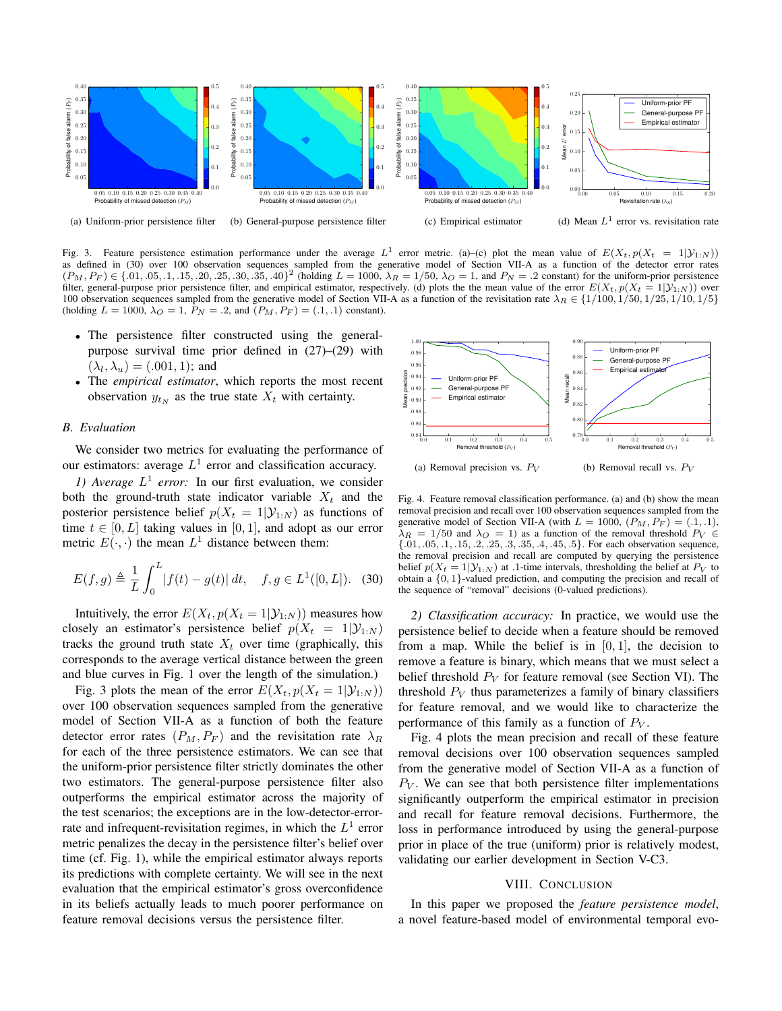<span id="page-6-0"></span>

Fig. 3. Feature persistence estimation performance under the average  $L^1$  error metric. [\(a\)](#page-6-0)[–\(c\)](#page-6-1) plot the mean value of  $E(X_t, p(X_t = 1 | Y_{1:N}))$ as defined in [\(30\)](#page-6-2) over 100 observation sequences sampled from the generative model of Section [VII-A](#page-5-4) as a function of the detector error rates  $(P_M, P_F) \in \{0.01, 0.05, 1, 1.15, 20, 25, 30, 35, 40\}^2$  (holding  $L = 1000$ ,  $\lambda_R = 1/50$ ,  $\lambda_O = 1$ , and  $P_N = .2$  constant) for the uniform-prior persistence filter, general-purpose prior persistence filter, and empirical estimator, respectively. [\(d\)](#page-6-3) plots the the mean value of the error  $E(X_t, p(X_t = 1 | Y_{1:N}))$  over 100 observation sequences sampled from the generative model of Section [VII-A](#page-5-4) as a function of the revisitation rate  $\lambda_R \in \{1/100, 1/50, 1/25, 1/10, 1/5\}$ (holding  $L = 1000$ ,  $\lambda_O = 1$ ,  $P_N = .2$ , and  $(P_M, P_F) = (.1, .1)$  constant).

- The persistence filter constructed using the generalpurpose survival time prior defined in [\(27\)](#page-5-2)–[\(29\)](#page-5-3) with  $(\lambda_l, \lambda_u) = (.001, 1);$  and
- The *empirical estimator*, which reports the most recent observation  $y_{t_N}$  as the true state  $X_t$  with certainty.

## *B. Evaluation*

We consider two metrics for evaluating the performance of our estimators: average  $L^1$  error and classification accuracy.

*1) Average* L 1 *error:* In our first evaluation, we consider both the ground-truth state indicator variable  $X_t$  and the posterior persistence belief  $p(X_t = 1 | Y_{1:N})$  as functions of time  $t \in [0, L]$  taking values in [0, 1], and adopt as our error metric  $E(\cdot, \cdot)$  the mean  $L^1$  distance between them:

$$
E(f,g) \triangleq \frac{1}{L} \int_0^L |f(t) - g(t)| dt, \quad f, g \in L^1([0, L]). \tag{30}
$$

Intuitively, the error  $E(X_t, p(X_t = 1 | Y_{1:N}))$  measures how closely an estimator's persistence belief  $p(X_t = 1 | Y_{1:N})$ tracks the ground truth state  $X_t$  over time (graphically, this corresponds to the average vertical distance between the green and blue curves in Fig. [1](#page-0-1) over the length of the simulation.)

Fig. [3](#page-6-4) plots the mean of the error  $E(X_t, p(X_t = 1 | Y_{1:N}))$ over 100 observation sequences sampled from the generative model of Section [VII-A](#page-5-4) as a function of both the feature detector error rates  $(P_M, P_F)$  and the revisitation rate  $\lambda_R$ for each of the three persistence estimators. We can see that the uniform-prior persistence filter strictly dominates the other two estimators. The general-purpose persistence filter also outperforms the empirical estimator across the majority of the test scenarios; the exceptions are in the low-detector-errorrate and infrequent-revisitation regimes, in which the  $L^1$  error metric penalizes the decay in the persistence filter's belief over time (cf. Fig. [1\)](#page-0-1), while the empirical estimator always reports its predictions with complete certainty. We will see in the next evaluation that the empirical estimator's gross overconfidence in its beliefs actually leads to much poorer performance on feature removal decisions versus the persistence filter.

<span id="page-6-5"></span><span id="page-6-4"></span><span id="page-6-3"></span><span id="page-6-1"></span>

<span id="page-6-7"></span><span id="page-6-6"></span><span id="page-6-2"></span>Fig. 4. Feature removal classification performance. [\(a\)](#page-6-5) and [\(b\)](#page-6-6) show the mean removal precision and recall over 100 observation sequences sampled from the generative model of Section [VII-A](#page-5-4) (with  $L = 1000$ ,  $(P_M, P_F) = (.1, .1),$  $\lambda_R = 1/50$  and  $\lambda_O = 1$ ) as a function of the removal threshold  $P_V \in$ {.01, .05, .1, .15, .2, .25, .3, .35, .4, .45, .5}. For each observation sequence, the removal precision and recall are computed by querying the persistence belief  $p(X_t = 1 | Y_{1:N})$  at .1-time intervals, thresholding the belief at  $P_V$  to obtain a {0, 1}-valued prediction, and computing the precision and recall of the sequence of "removal" decisions (0-valued predictions).

*2) Classification accuracy:* In practice, we would use the persistence belief to decide when a feature should be removed from a map. While the belief is in  $[0, 1]$ , the decision to remove a feature is binary, which means that we must select a belief threshold  $P_V$  for feature removal (see Section [VI\)](#page-5-5). The threshold  $P_V$  thus parameterizes a family of binary classifiers for feature removal, and we would like to characterize the performance of this family as a function of  $P_V$ .

Fig. [4](#page-6-7) plots the mean precision and recall of these feature removal decisions over 100 observation sequences sampled from the generative model of Section [VII-A](#page-5-4) as a function of  $P_V$ . We can see that both persistence filter implementations significantly outperform the empirical estimator in precision and recall for feature removal decisions. Furthermore, the loss in performance introduced by using the general-purpose prior in place of the true (uniform) prior is relatively modest, validating our earlier development in Section [V-C3.](#page-5-6)

## VIII. CONCLUSION

In this paper we proposed the *feature persistence model*, a novel feature-based model of environmental temporal evo